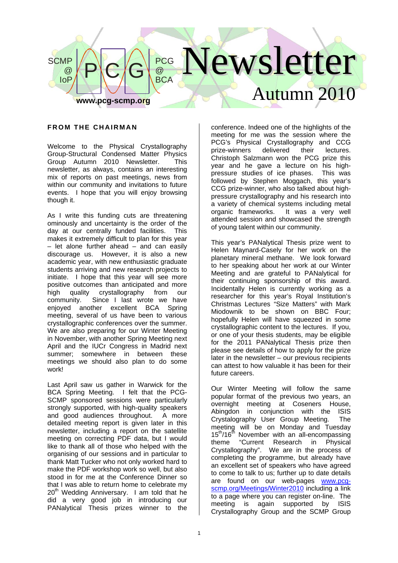

### **FROM THE CHAIRMAN**

Welcome to the Physical Crystallography Group-Structural Condensed Matter Physics Group Autumn 2010 Newsletter. This newsletter, as always, contains an interesting mix of reports on past meetings, news from within our community and invitations to future events. I hope that you will enjoy browsing though it.

As I write this funding cuts are threatening ominously and uncertainty is the order of the day at our centrally funded facilities. This makes it extremely difficult to plan for this year – let alone further ahead – and can easily discourage us. However, it is also a new academic year, with new enthusiastic graduate students arriving and new research projects to initiate. I hope that this year will see more positive outcomes than anticipated and more high quality crystallography from our community. Since I last wrote we have enjoyed another excellent BCA Spring meeting, several of us have been to various crystallographic conferences over the summer. We are also preparing for our Winter Meeting in November, with another Spring Meeting next April and the IUCr Congress in Madrid next summer; somewhere in between these meetings we should also plan to do some work!

Last April saw us gather in Warwick for the BCA Spring Meeting. I felt that the PCG-SCMP sponsored sessions were particularly strongly supported, with high-quality speakers and good audiences throughout. A more detailed meeting report is given later in this newsletter, including a report on the satellite meeting on correcting PDF data, but I would like to thank all of those who helped with the organising of our sessions and in particular to thank Matt Tucker who not only worked hard to make the PDF workshop work so well, but also stood in for me at the Conference Dinner so that I was able to return home to celebrate my 20<sup>th</sup> Wedding Anniversary. I am told that he did a very good job in introducing our PANalytical Thesis prizes winner to the

conference. Indeed one of the highlights of the meeting for me was the session where the PCG's Physical Crystallography and CCG prize-winners delivered their lectures. Christoph Salzmann won the PCG prize this year and he gave a lecture on his highpressure studies of ice phases. This was followed by Stephen Moggach, this year's CCG prize-winner, who also talked about highpressure crystallography and his research into a variety of chemical systems including metal organic frameworks. It was a very well attended session and showcased the strength of young talent within our community.

This year's PANalytical Thesis prize went to Helen Maynard-Casely for her work on the planetary mineral methane. We look forward to her speaking about her work at our Winter Meeting and are grateful to PANalytical for their continuing sponsorship of this award. Incidentally Helen is currently working as a researcher for this year's Royal Institution's Christmas Lectures "Size Matters" with Mark Miodownik to be shown on BBC Four; hopefully Helen will have squeezed in some crystallographic content to the lectures. If you, or one of your thesis students, may be eligible for the 2011 PANalytical Thesis prize then please see details of how to apply for the prize later in the newsletter – our previous recipients can attest to how valuable it has been for their future careers.

Our Winter Meeting will follow the same popular format of the previous two years, an overnight meeting at Coseners House, Abingdon in conjunction with the ISIS Crystalography User Group Meeting. The meeting will be on Monday and Tuesday  $15<sup>th</sup>/16<sup>th</sup>$  November with an all-encompassing theme "Current Research in Physical Crystallography". We are in the process of completing the programme, but already have an excellent set of speakers who have agreed to come to talk to us; further up to date details are found on our web-pages www.pcgscmp.org/Meetings/Winter2010 including a link to a page where you can register on-line. The meeting is again supported by ISIS Crystallography Group and the SCMP Group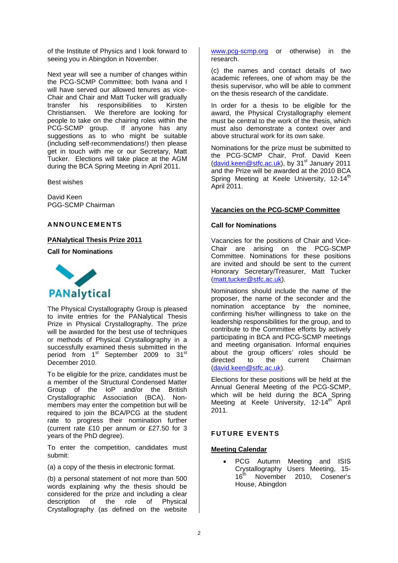of the Institute of Physics and I look forward to seeing you in Abingdon in November.

Next year will see a number of changes within the PCG-SCMP Committee; both Ivana and I will have served our allowed tenures as vice-Chair and Chair and Matt Tucker will gradually transfer his responsibilities to Kirsten Christiansen. We therefore are looking for people to take on the chairing roles within the PCG-SCMP group. If anyone has any suggestions as to who might be suitable (including self-recommendations!) then please get in touch with me or our Secretary, Matt Tucker. Elections will take place at the AGM during the BCA Spring Meeting in April 2011.

Best wishes

David Keen PGG-SCMP Chairman

#### **ANNOUNCEMENTS**

**PANalytical Thesis Prize 2011**

**Call for Nominations** 



The Physical Crystallography Group is pleased to invite entries for the PANalytical Thesis Prize in Physical Crystallography. The prize will be awarded for the best use of techniques or methods of Physical Crystallography in a successfully examined thesis submitted in the period from 1<sup>st</sup> September 2009 to 31<sup>st</sup> December 2010.

To be eligible for the prize, candidates must be a member of the Structural Condensed Matter Group of the IoP and/or the British Crystallographic Association (BCA). Nonmembers may enter the competition but will be required to join the BCA/PCG at the student rate to progress their nomination further (current rate £10 per annum or £27.50 for 3 years of the PhD degree).

To enter the competition, candidates must submit:

(a) a copy of the thesis in electronic format.

(b) a personal statement of not more than 500 words explaining why the thesis should be considered for the prize and including a clear description of the role of Physical Crystallography (as defined on the website

www.pcg-scmp.org or otherwise) in the research.

(c) the names and contact details of two academic referees, one of whom may be the thesis supervisor, who will be able to comment on the thesis research of the candidate.

In order for a thesis to be eligible for the award, the Physical Crystallography element must be central to the work of the thesis, which must also demonstrate a context over and above structural work for its own sake.

Nominations for the prize must be submitted to the PCG-SCMP Chair, Prof. David Keen (david.keen@stfc.ac.uk), by 31<sup>st</sup> January 2011 and the Prize will be awarded at the 2010 BCA Spring Meeting at Keele University, 12-14<sup>th</sup> April 2011.

#### **Vacancies on the PCG-SCMP Committee**

#### **Call for Nominations**

Vacancies for the positions of Chair and Vice-Chair are arising on the PCG-SCMP Committee. Nominations for these positions are invited and should be sent to the current Honorary Secretary/Treasurer, Matt Tucker (matt.tucker@stfc.ac.uk).

Nominations should include the name of the proposer, the name of the seconder and the nomination acceptance by the nominee, confirming his/her willingness to take on the leadership responsibilities for the group, and to contribute to the Committee efforts by actively participating in BCA and PCG-SCMP meetings and meeting organisation. Informal enquiries about the group officers' roles should be<br>directed to the current Chairman directed to the current Chairman (david.keen@stfc.ac.uk).

Elections for these positions will be held at the Annual General Meeting of the PCG-SCMP, which will be held during the BCA Spring Meeting at Keele University, 12-14<sup>th</sup> April 2011.

#### **FUTURE EVENTS**

### **Meeting Calendar**

• PCG Autumn Meeting and ISIS Crystallography Users Meeting, 15- 16<sup>th</sup> November 2010, Cosener's House, Abingdon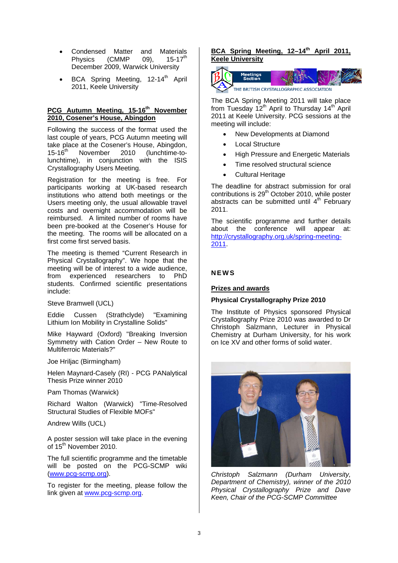- Condensed Matter and Materials<br>Physics (CMMP 09).  $15-17<sup>th</sup>$ Physics (CMMP 09), December 2009, Warwick University
- BCA Spring Meeting,  $12-14^{\text{th}}$  April 2011, Keele University

### **PCG Autumn Meeting, 15-16<sup>th</sup> November 2010, Cosener's House, Abingdon**

Following the success of the format used the last couple of years, PCG Autumn meeting will take place at the Cosener's House, Abingdon,  $15-16^{\text{th}}$  November 2010 (lunchtime-to-November 2010 (lunchtime-tolunchtime), in conjunction with the ISIS Crystallography Users Meeting.

Registration for the meeting is free. For participants working at UK-based research institutions who attend both meetings or the Users meeting only, the usual allowable travel costs and overnight accommodation will be reimbursed. A limited number of rooms have been pre-booked at the Cosener's House for the meeting. The rooms will be allocated on a first come first served basis.

The meeting is themed "Current Research in Physical Crystallography". We hope that the meeting will be of interest to a wide audience, from experienced researchers to PhD students. Confirmed scientific presentations include:

Steve Bramwell (UCL)

Eddie Cussen (Strathclyde) "Examining Lithium Ion Mobility in Crystalline Solids"

Mike Hayward (Oxford) "Breaking Inversion Symmetry with Cation Order – New Route to Multiferroic Materials?"

Joe Hriljac (Birmingham)

Helen Maynard-Casely (RI) - PCG PANalytical Thesis Prize winner 2010

Pam Thomas (Warwick)

Richard Walton (Warwick) "Time-Resolved Structural Studies of Flexible MOFs"

Andrew Wills (UCL)

A poster session will take place in the evening of 15<sup>th</sup> November 2010.

The full scientific programme and the timetable will be posted on the PCG-SCMP wiki (www.pcg-scmp.org).

To register for the meeting, please follow the link given at www.pcg-scmp.org.

# BCA Spring Meeting, 12-14<sup>th</sup> April 2011. **Keele University**



The BCA Spring Meeting 2011 will take place from Tuesday  $12<sup>th</sup>$  April to Thursday  $14<sup>th</sup>$  April 2011 at Keele University. PCG sessions at the meeting will include:

- New Developments at Diamond
- **Local Structure**
- High Pressure and Energetic Materials
- Time resolved structural science
- Cultural Heritage

The deadline for abstract submission for oral contributions is  $29<sup>th</sup>$  October 2010, while poster abstracts can be submitted until  $4<sup>th</sup>$  February 2011.

The scientific programme and further details about the conference will appear at: http://crystallography.org.uk/spring-meeting-2011.

## **NEWS**

## **Prizes and awards**

## **Physical Crystallography Prize 2010**

The Institute of Physics sponsored Physical Crystallography Prize 2010 was awarded to Dr Christoph Salzmann, Lecturer in Physical Chemistry at Durham University, for his work on Ice XV and other forms of solid water.



*Christoph Salzmann (Durham University, Department of Chemistry), winner of the 2010 Physical Crystallography Prize and Dave Keen, Chair of the PCG-SCMP Committee*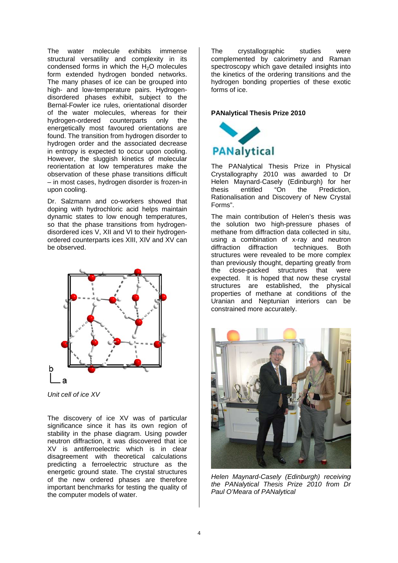The water molecule exhibits immense structural versatility and complexity in its condensed forms in which the  $H_2O$  molecules form extended hydrogen bonded networks. The many phases of ice can be grouped into high- and low-temperature pairs. Hydrogendisordered phases exhibit, subject to the Bernal-Fowler ice rules, orientational disorder of the water molecules, whereas for their hydrogen-ordered counterparts only the energetically most favoured orientations are found. The transition from hydrogen disorder to hydrogen order and the associated decrease in entropy is expected to occur upon cooling. However, the sluggish kinetics of molecular reorientation at low temperatures make the observation of these phase transitions difficult – in most cases, hydrogen disorder is frozen-in upon cooling.

Dr. Salzmann and co-workers showed that doping with hydrochloric acid helps maintain dynamic states to low enough temperatures, so that the phase transitions from hydrogendisordered ices V, XII and VI to their hydrogenordered counterparts ices XIII, XIV and XV can be observed.



*Unit cell of ice XV*

The discovery of ice XV was of particular significance since it has its own region of stability in the phase diagram. Using powder neutron diffraction, it was discovered that ice XV is antiferroelectric which is in clear disagreement with theoretical calculations predicting a ferroelectric structure as the energetic ground state. The crystal structures of the new ordered phases are therefore important benchmarks for testing the quality of the computer models of water.

The crystallographic studies were complemented by calorimetry and Raman spectroscopy which gave detailed insights into the kinetics of the ordering transitions and the hydrogen bonding properties of these exotic forms of ice.

## **PANalytical Thesis Prize 2010**



The PANalytical Thesis Prize in Physical Crystallography 2010 was awarded to Dr Helen Maynard-Casely (Edinburgh) for her thesis entitled "On the Prediction, Rationalisation and Discovery of New Crystal Forms".

The main contribution of Helen's thesis was the solution two high-pressure phases of methane from diffraction data collected in situ, using a combination of x-ray and neutron diffraction diffraction techniques. Both structures were revealed to be more complex than previously thought, departing greatly from the close-packed structures that were expected. It is hoped that now these crystal structures are established, the physical properties of methane at conditions of the Uranian and Neptunian interiors can be constrained more accurately.



*Helen Maynard-Casely (Edinburgh) receiving the PANalytical Thesis Prize 2010 from Dr Paul O'Meara of PANalytical*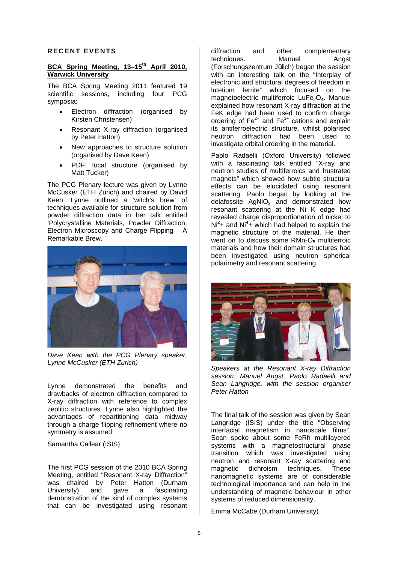### **RECENT EVENTS**

## BCA Spring Meeting, 13-15<sup>th</sup> April 2010. **Warwick University**

The BCA Spring Meeting 2011 featured 19 scientific sessions, including four PCG symposia:

- Electron diffraction (organised by Kirsten Christensen)
- Resonant X-ray diffraction (organised by Peter Hatton)
- New approaches to structure solution (organised by Dave Keen)
- PDF: local structure (organised by Matt Tucker)

The PCG Plenary lecture was given by Lynne McCusker (ETH Zurich) and chaired by David Keen. Lynne outlined a 'witch's brew' of techniques available for structure solution from powder diffraction data in her talk entitled 'Polycrystalline Materials, Powder Diffraction, Electron Microscopy and Charge Flipping – A Remarkable Brew. '



*Dave Keen with the PCG Plenary speaker, Lynne McCusker (ETH Zurich)* 

Lynne demonstrated the benefits and drawbacks of electron diffraction compared to X-ray diffraction with reference to complex zeolitic structures. Lynne also highlighted the advantages of repartitioning data midway through a charge flipping refinement where no symmetry is assumed.

Samantha Callear (ISIS)

The first PCG session of the 2010 BCA Spring Meeting, entitled "Resonant X-ray Diffraction" was chaired by Peter Hatton (Durham University) and gave a fascinating demonstration of the kind of complex systems that can be investigated using resonant

diffraction and other complementary techniques. Manuel Angst (Forschungszentrum Jülich) began the session with an interesting talk on the "Interplay of electronic and structural degrees of freedom in lutetium ferrite" which focused on the magnetoelectric multiferroic LuFe<sub>2</sub>O<sub>4</sub>. Manuel explained how resonant X-ray diffraction at the FeK edge had been used to confirm charge ordering of  $\text{Fe}^{2+}$  and  $\text{Fe}^{3+}$  cations and explain its antiferroelectric structure, whilst polarised neutron diffraction had been used to investigate orbital ordering in the material.

Paolo Radaelli (Oxford University) followed with a fascinating talk entitled "X-ray and neutron studies of multiferroics and frustrated magnets" which showed how subtle structural effects can be elucidated using resonant scattering. Paolo began by looking at the delafossite  $AqNIO<sub>2</sub>$  and demonstrated how resonant scattering at the Ni K edge had revealed charge disproportionation of nickel to  $Ni<sup>2</sup>$ + and Ni<sup>4</sup>+ which had helped to explain the magnetic structure of the material. He then went on to discuss some  $RMn_2O_5$  multiferroic materials and how their domain structures had been investigated using neutron spherical polarimetry and resonant scattering.



*Speakers at the Resonant X-ray Diffraction session: Manuel Angst, Paolo Radaelli and Sean Langridge, with the session organiser Peter Hatton* 

The final talk of the session was given by Sean Langridge (ISIS) under the title "Observing interfacial magnetism in nanoscale films". Sean spoke about some FeRh multilayered systems with a magnetostructural phase transition which was investigated using neutron and resonant X-ray scattering and magnetic dichroism techniques. These nanomagnetic systems are of considerable technological importance and can help in the understanding of magnetic behaviour in other systems of reduced dimensionality.

Emma McCabe (Durham University)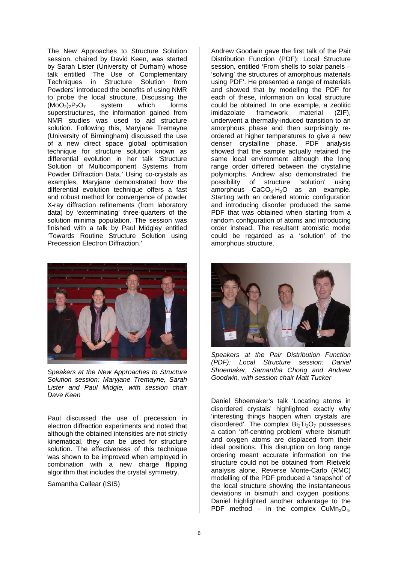The New Approaches to Structure Solution session, chaired by David Keen, was started by Sarah Lister (University of Durham) whose talk entitled 'The Use of Complementary Techniques in Structure Solution from Powders' introduced the benefits of using NMR to probe the local structure. Discussing the  $(MoO<sub>2</sub>)<sub>2</sub>P<sub>2</sub>O<sub>7</sub>$  system which forms superstructures, the information gained from NMR studies was used to aid structure solution. Following this, Maryjane Tremayne (University of Birmingham) discussed the use of a new direct space global optimisation technique for structure solution known as differential evolution in her talk 'Structure Solution of Multicomponent Systems from Powder Diffraction Data.' Using co-crystals as examples, Maryjane demonstrated how the differential evolution technique offers a fast and robust method for convergence of powder X-ray diffraction refinements (from laboratory data) by 'exterminating' three-quarters of the solution minima population. The session was finished with a talk by Paul Midgley entitled 'Towards Routine Structure Solution using Precession Electron Diffraction.'



*Speakers at the New Approaches to Structure Solution session: Maryjane Tremayne, Sarah Lister and Paul Midgle, with session chair Dave Keen*

Paul discussed the use of precession in electron diffraction experiments and noted that although the obtained intensities are not strictly kinematical, they can be used for structure solution. The effectiveness of this technique was shown to be improved when employed in combination with a new charge flipping algorithm that includes the crystal symmetry.

Samantha Callear (ISIS)

Andrew Goodwin gave the first talk of the Pair Distribution Function (PDF): Local Structure session, entitled 'From shells to solar panels – 'solving' the structures of amorphous materials using PDF'. He presented a range of materials and showed that by modelling the PDF for each of these, information on local structure could be obtained. In one example, a zeolitic imidazolate framework material (ZIF), underwent a thermally-induced transition to an amorphous phase and then surprisingly reordered at higher temperatures to give a new denser crystalline phase. PDF analysis showed that the sample actually retained the same local environment although the long range order differed between the crystalline polymorphs. Andrew also demonstrated the possibility of structure 'solution' using amorphous  $CaCO<sub>3</sub>·H<sub>2</sub>O$  as an example. Starting with an ordered atomic configuration and introducing disorder produced the same PDF that was obtained when starting from a random configuration of atoms and introducing order instead. The resultant atomistic model could be regarded as a 'solution' of the amorphous structure.



*Speakers at the Pair Distribution Function (PDF): Local Structure session: Daniel Shoemaker, Samantha Chong and Andrew Goodwin, with session chair Matt Tucker*

Daniel Shoemaker's talk 'Locating atoms in disordered crystals' highlighted exactly why 'interesting things happen when crystals are disordered'. The complex  $Bi<sub>2</sub>Ti<sub>2</sub>O<sub>7</sub>$  possesses a cation 'off-centring problem' where bismuth and oxygen atoms are displaced from their ideal positions. This disruption on long range ordering meant accurate information on the structure could not be obtained from Rietveld analysis alone. Reverse Monte-Carlo (RMC) modelling of the PDF produced a 'snapshot' of the local structure showing the instantaneous deviations in bismuth and oxygen positions. Daniel highlighted another advantage to the PDF method – in the complex  $\text{CuMn}_2\text{O}_4$ ,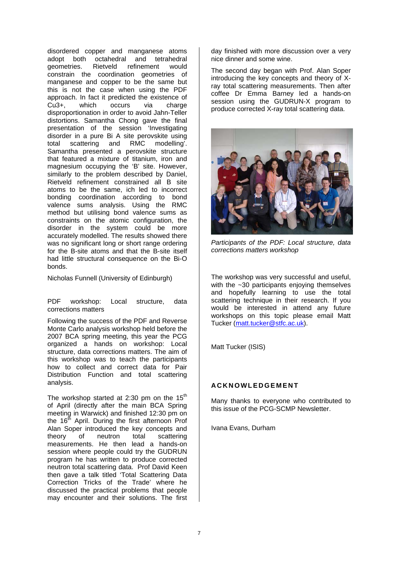disordered copper and manganese atoms adopt both octahedral and tetrahedral geometries. Rietveld refinement would constrain the coordination geometries of manganese and copper to be the same but this is not the case when using the PDF approach. In fact it predicted the existence of Cu3+, which occurs via charge disproportionation in order to avoid Jahn-Teller distortions. Samantha Chong gave the final presentation of the session 'Investigating disorder in a pure Bi A site perovskite using total scattering and RMC modelling'. Samantha presented a perovskite structure that featured a mixture of titanium, iron and magnesium occupying the 'B' site. However, similarly to the problem described by Daniel. Rietveld refinement constrained all B site atoms to be the same, ich led to incorrect bonding coordination according to bond valence sums analysis. Using the RMC method but utilising bond valence sums as constraints on the atomic configuration, the disorder in the system could be more accurately modelled. The results showed there was no significant long or short range ordering for the B-site atoms and that the B-site itself had little structural consequence on the Bi-O bonds.

Nicholas Funnell (University of Edinburgh)

PDF workshop: Local structure, data corrections matters

Following the success of the PDF and Reverse Monte Carlo analysis workshop held before the 2007 BCA spring meeting, this year the PCG organized a hands on workshop: Local structure, data corrections matters. The aim of this workshop was to teach the participants how to collect and correct data for Pair Distribution Function and total scattering analysis.

The workshop started at 2:30 pm on the  $15<sup>th</sup>$ of April (directly after the main BCA Spring meeting in Warwick) and finished 12:30 pm on the 16<sup>th</sup> April. During the first afternoon Prof Alan Soper introduced the key concepts and<br>theory of neutron total scattering of neutron total scattering measurements. He then lead a hands-on session where people could try the GUDRUN program he has written to produce corrected neutron total scattering data. Prof David Keen then gave a talk titled 'Total Scattering Data Correction Tricks of the Trade' where he discussed the practical problems that people may encounter and their solutions. The first

day finished with more discussion over a very nice dinner and some wine.

The second day began with Prof. Alan Soper introducing the key concepts and theory of Xray total scattering measurements. Then after coffee Dr Emma Barney led a hands-on session using the GUDRUN-X program to produce corrected X-ray total scattering data.



*Participants of the PDF: Local structure, data corrections matters workshop* 

The workshop was very successful and useful, with the ~30 participants enjoying themselves and hopefully learning to use the total scattering technique in their research. If you would be interested in attend any future workshops on this topic please email Matt Tucker (matt.tucker@stfc.ac.uk).

Matt Tucker (ISIS)

# **ACKNOWLEDGEMENT**

Many thanks to everyone who contributed to this issue of the PCG-SCMP Newsletter.

Ivana Evans, Durham